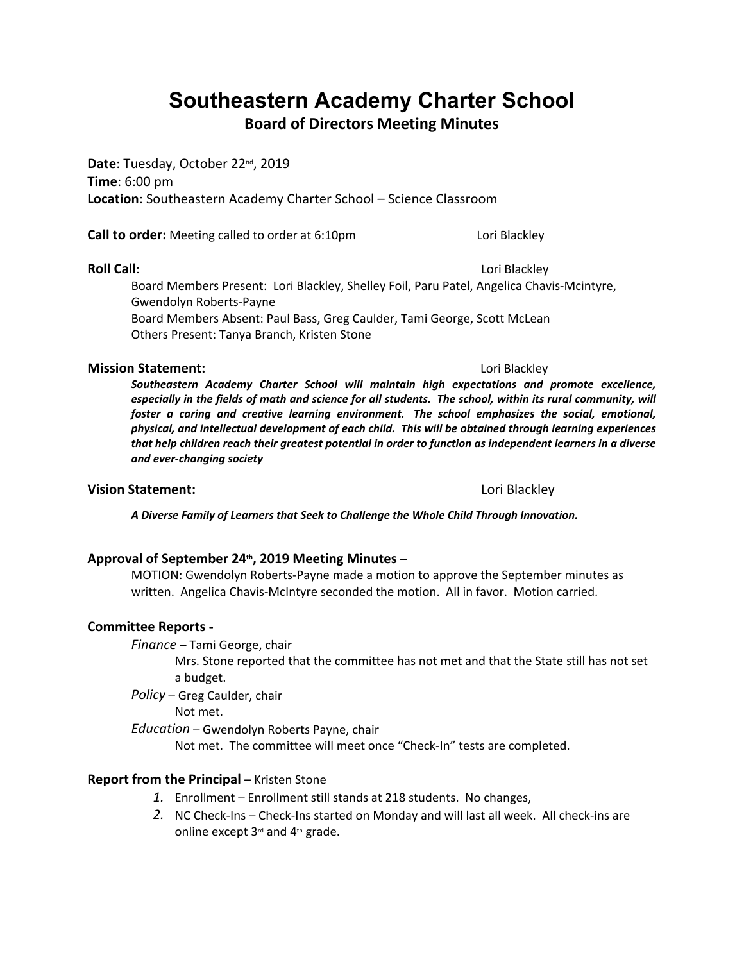# **Southeastern Academy Charter School**

**Board of Directors Meeting Minutes**

**Date**: Tuesday, October 22nd, 2019 **Time**: 6:00 pm **Location**: Southeastern Academy Charter School – Science Classroom

**Call to order:** Meeting called to order at 6:10pm Lori Blackley

**Roll Call**: **Allah Call**: **Call**: **Call**: **Call**: **Call**: **Call**: **Call**: **Call**: **Call**: **Call**: **Call**: **Call**: **Call**: **Call**: **Call**: **Call**: **Call**: **Call**: **Call**: **Call**: **Call**: **Call**: **Call**: **Call**: **Call**: **Ca** Board Members Present: Lori Blackley, Shelley Foil, Paru Patel, Angelica Chavis-Mcintyre, Gwendolyn Roberts-Payne Board Members Absent: Paul Bass, Greg Caulder, Tami George, Scott McLean Others Present: Tanya Branch, Kristen Stone

### **Mission Statement:**  $\qquad \qquad$  Lori Blackley

*Southeastern Academy Charter School will maintain high expectations and promote excellence,*  especially in the fields of math and science for all students. The school, within its rural community, will *foster a caring and creative learning environment. The school emphasizes the social, emotional, physical, and intellectual development of each child. This will be obtained through learning experiences that help children reach their greatest potential in order to function as independent learners in a diverse and ever-changing society*

### **Vision Statement:** Lori Blackley

*A Diverse Family of Learners that Seek to Challenge the Whole Child Through Innovation.*

**Approval of September 24th, 2019 Meeting Minutes** – MOTION: Gwendolyn Roberts-Payne made a motion to approve the September minutes as written. Angelica Chavis-McIntyre seconded the motion. All in favor. Motion carried.

### **Committee Reports -**

*Finance* – Tami George, chair

Mrs. Stone reported that the committee has not met and that the State still has not set a budget.

*Policy* – Greg Caulder, chair

Not met.

*Education* – Gwendolyn Roberts Payne, chair

Not met. The committee will meet once "Check-In" tests are completed.

### **Report from the Principal – Kristen Stone**

- *1.* Enrollment Enrollment still stands at 218 students. No changes,
- *2.* NC Check-Ins Check-Ins started on Monday and will last all week. All check-ins are online except 3rd and 4th grade.